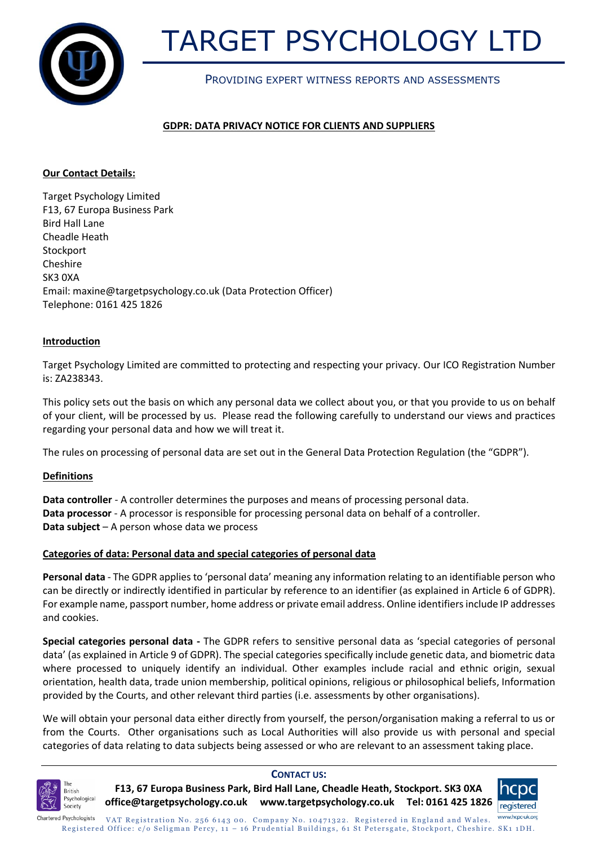

# TARGET PSYCHOLOGY LTD

# PROVIDING EXPERT WITNESS REPORTS AND ASSESSMENTS

# **GDPR: DATA PRIVACY NOTICE FOR CLIENTS AND SUPPLIERS**

# **Our Contact Details:**

Target Psychology Limited F13, 67 Europa Business Park Bird Hall Lane Cheadle Heath **Stockport** Cheshire SK3 0XA Email[: maxine@targetpsychology.co.uk](mailto:maxine@targetpsychology.co.uk) (Data Protection Officer) Telephone: 0161 425 1826

# **Introduction**

Target Psychology Limited are committed to protecting and respecting your privacy. Our ICO Registration Number is: ZA238343.

This policy sets out the basis on which any personal data we collect about you, or that you provide to us on behalf of your client, will be processed by us. Please read the following carefully to understand our views and practices regarding your personal data and how we will treat it.

The rules on processing of personal data are set out in the General Data Protection Regulation (the "GDPR").

# **Definitions**

**Data controller** - A controller determines the purposes and means of processing personal data. **Data processor** - A processor is responsible for processing personal data on behalf of a controller. **Data subject** – A person whose data we process

# **Categories of data: Personal data and special categories of personal data**

**Personal data** - The GDPR applies to 'personal data' meaning any information relating to an identifiable person who can be directly or indirectly identified in particular by reference to an identifier (as explained in Article 6 of GDPR). For example name, passport number, home address or private email address. Online identifiers include IP addresses and cookies.

**Special categories personal data -** The GDPR refers to sensitive personal data as 'special categories of personal data' (as explained in Article 9 of GDPR). The special categories specifically include genetic data, and biometric data where processed to uniquely identify an individual. Other examples include racial and ethnic origin, sexual orientation, health data, trade union membership, political opinions, religious or philosophical beliefs, Information provided by the Courts, and other relevant third parties (i.e. assessments by other organisations).

We will obtain your personal data either directly from yourself, the person/organisation making a referral to us or from the Courts. Other organisations such as Local Authorities will also provide us with personal and special categories of data relating to data subjects being assessed or who are relevant to an assessment taking place.



# **CONTACT US:**

**F13, 67 Europa Business Park, Bird Hall Lane, Cheadle Heath, Stockport. SK3 0XA office@targetpsychology.co.uk www.targetpsychology.co.uk Tel: 0161 425 1826**

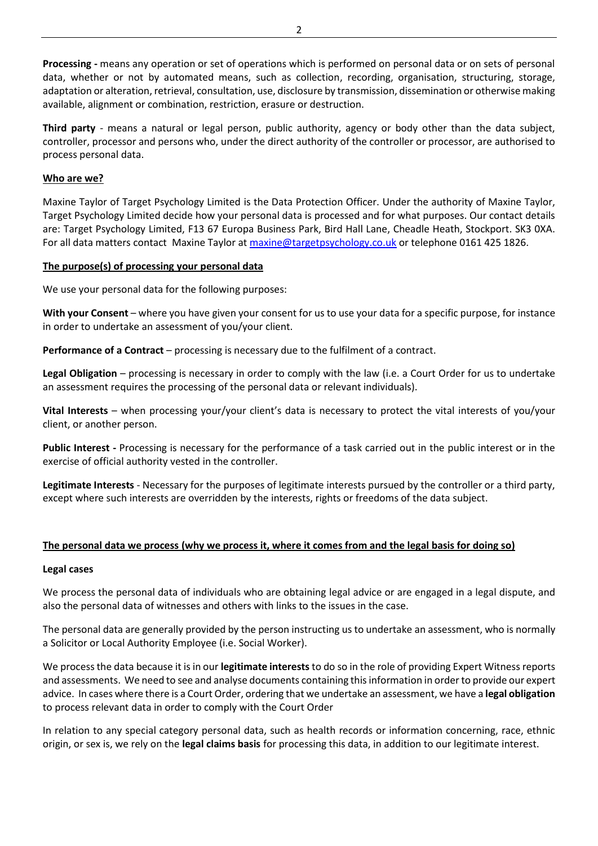**Processing -** means any operation or set of operations which is performed on personal data or on sets of personal data, whether or not by automated means, such as collection, recording, organisation, structuring, storage, adaptation or alteration, retrieval, consultation, use, disclosure by transmission, dissemination or otherwise making available, alignment or combination, restriction, erasure or destruction.

**Third party** - means a natural or legal person, public authority, agency or body other than the data subject, controller, processor and persons who, under the direct authority of the controller or processor, are authorised to process personal data.

# **Who are we?**

Maxine Taylor of Target Psychology Limited is the Data Protection Officer. Under the authority of Maxine Taylor, Target Psychology Limited decide how your personal data is processed and for what purposes. Our contact details are: Target Psychology Limited, F13 67 Europa Business Park, Bird Hall Lane, Cheadle Heath, Stockport. SK3 0XA. For all data matters contact Maxine Taylor a[t maxine@targetpsychology.co.uk](mailto:maxine@targetpsychology.co.uk) or telephone 0161 425 1826.

# **The purpose(s) of processing your personal data**

We use your personal data for the following purposes:

**With your Consent** – where you have given your consent for us to use your data for a specific purpose, for instance in order to undertake an assessment of you/your client.

**Performance of a Contract** – processing is necessary due to the fulfilment of a contract.

**Legal Obligation** – processing is necessary in order to comply with the law (i.e. a Court Order for us to undertake an assessment requires the processing of the personal data or relevant individuals).

**Vital Interests** – when processing your/your client's data is necessary to protect the vital interests of you/your client, or another person.

**Public Interest -** Processing is necessary for the performance of a task carried out in the public interest or in the exercise of official authority vested in the controller.

**Legitimate Interests** - Necessary for the purposes of legitimate interests pursued by the controller or a third party, except where such interests are overridden by the interests, rights or freedoms of the data subject.

# **The personal data we process (why we process it, where it comes from and the legal basis for doing so)**

# **Legal cases**

We process the personal data of individuals who are obtaining legal advice or are engaged in a legal dispute, and also the personal data of witnesses and others with links to the issues in the case.

The personal data are generally provided by the person instructing us to undertake an assessment, who is normally a Solicitor or Local Authority Employee (i.e. Social Worker).

We process the data because it is in our **legitimate interests**to do so in the role of providing Expert Witness reports and assessments. We need to see and analyse documents containing this information in order to provide our expert advice. In cases where there is a Court Order, ordering that we undertake an assessment, we have a **legal obligation** to process relevant data in order to comply with the Court Order

In relation to any special category personal data, such as health records or information concerning, race, ethnic origin, or sex is, we rely on the **legal claims basis** for processing this data, in addition to our legitimate interest.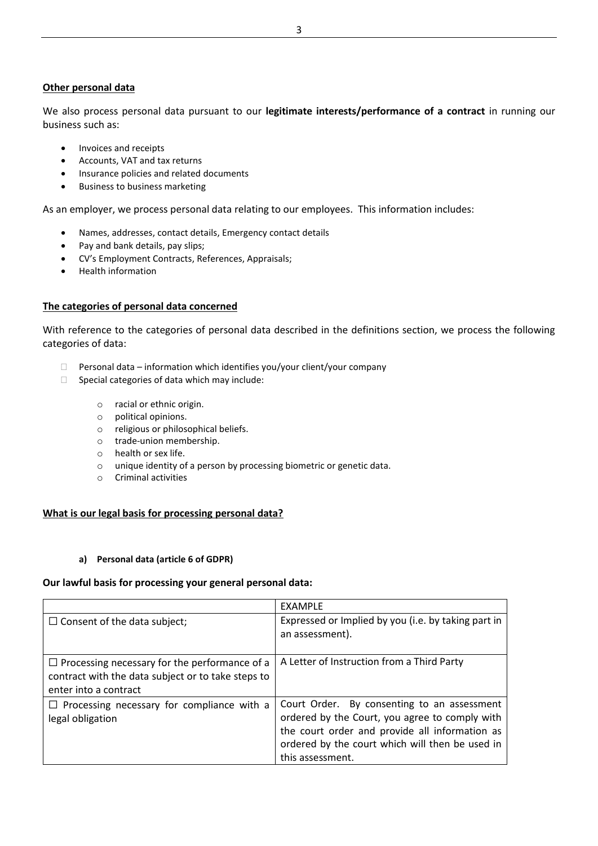# **Other personal data**

We also process personal data pursuant to our **legitimate interests/performance of a contract** in running our business such as:

- Invoices and receipts
- Accounts, VAT and tax returns
- Insurance policies and related documents
- Business to business marketing

As an employer, we process personal data relating to our employees. This information includes:

- Names, addresses, contact details, Emergency contact details
- Pay and bank details, pay slips;
- CV's Employment Contracts, References, Appraisals;
- Health information

# **The categories of personal data concerned**

With reference to the categories of personal data described in the definitions section, we process the following categories of data:

- $\Box$  Personal data information which identifies you/your client/your company
- $\Box$  Special categories of data which may include:
	- o racial or ethnic origin.
	- o political opinions.
	- o religious or philosophical beliefs.
	- o trade-union membership.
	- o health or sex life.
	- o unique identity of a person by processing biometric or genetic data.
	- o Criminal activities

# **What is our legal basis for processing personal data?**

#### **a) Personal data (article 6 of GDPR)**

#### **Our lawful basis for processing your general personal data:**

|                                                                                                                                     | <b>EXAMPLE</b>                                                                                                                                                                                                         |
|-------------------------------------------------------------------------------------------------------------------------------------|------------------------------------------------------------------------------------------------------------------------------------------------------------------------------------------------------------------------|
| $\Box$ Consent of the data subject;                                                                                                 | Expressed or Implied by you (i.e. by taking part in<br>an assessment).                                                                                                                                                 |
| $\Box$ Processing necessary for the performance of a<br>contract with the data subject or to take steps to<br>enter into a contract | A Letter of Instruction from a Third Party                                                                                                                                                                             |
| $\Box$ Processing necessary for compliance with a<br>legal obligation                                                               | Court Order. By consenting to an assessment<br>ordered by the Court, you agree to comply with<br>the court order and provide all information as<br>ordered by the court which will then be used in<br>this assessment. |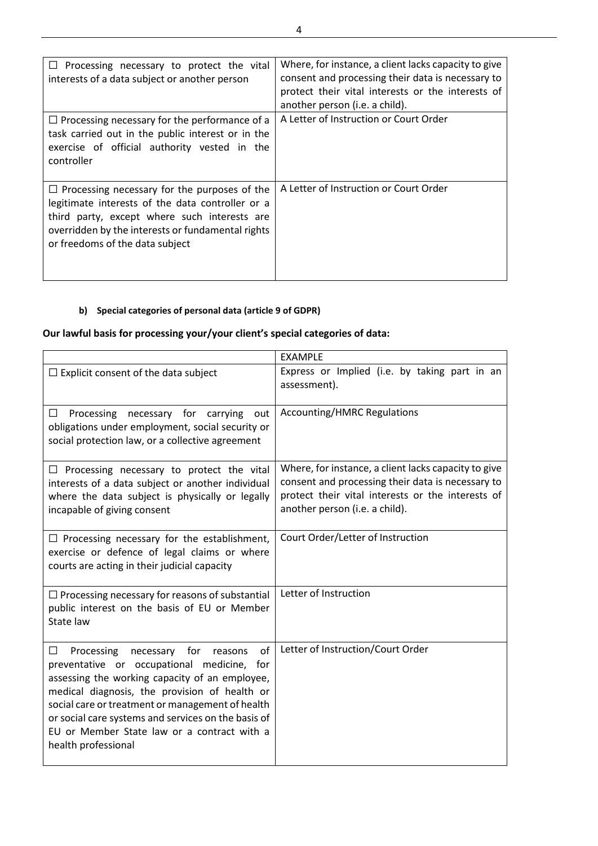| $\Box$ Processing necessary to protect the vital<br>interests of a data subject or another person                                                                                                                                               | Where, for instance, a client lacks capacity to give<br>consent and processing their data is necessary to<br>protect their vital interests or the interests of<br>another person (i.e. a child). |
|-------------------------------------------------------------------------------------------------------------------------------------------------------------------------------------------------------------------------------------------------|--------------------------------------------------------------------------------------------------------------------------------------------------------------------------------------------------|
| $\Box$ Processing necessary for the performance of a<br>task carried out in the public interest or in the<br>exercise of official authority vested in the<br>controller                                                                         | A Letter of Instruction or Court Order                                                                                                                                                           |
| $\Box$ Processing necessary for the purposes of the<br>legitimate interests of the data controller or a<br>third party, except where such interests are<br>overridden by the interests or fundamental rights<br>or freedoms of the data subject | A Letter of Instruction or Court Order                                                                                                                                                           |

# **b) Special categories of personal data (article 9 of GDPR)**

# **Our lawful basis for processing your/your client's special categories of data:**

|                                                                                                                                                                                                                                                                                                                                                                                     | <b>EXAMPLE</b>                                                                                                                                                                                   |
|-------------------------------------------------------------------------------------------------------------------------------------------------------------------------------------------------------------------------------------------------------------------------------------------------------------------------------------------------------------------------------------|--------------------------------------------------------------------------------------------------------------------------------------------------------------------------------------------------|
| $\Box$ Explicit consent of the data subject                                                                                                                                                                                                                                                                                                                                         | Express or Implied (i.e. by taking part in an<br>assessment).                                                                                                                                    |
| $\Box$<br>necessary for carrying<br>Processing<br>out<br>obligations under employment, social security or<br>social protection law, or a collective agreement                                                                                                                                                                                                                       | <b>Accounting/HMRC Regulations</b>                                                                                                                                                               |
| $\Box$ Processing necessary to protect the vital<br>interests of a data subject or another individual<br>where the data subject is physically or legally<br>incapable of giving consent                                                                                                                                                                                             | Where, for instance, a client lacks capacity to give<br>consent and processing their data is necessary to<br>protect their vital interests or the interests of<br>another person (i.e. a child). |
| $\Box$ Processing necessary for the establishment,<br>exercise or defence of legal claims or where<br>courts are acting in their judicial capacity                                                                                                                                                                                                                                  | Court Order/Letter of Instruction                                                                                                                                                                |
| $\Box$ Processing necessary for reasons of substantial<br>public interest on the basis of EU or Member<br>State law                                                                                                                                                                                                                                                                 | Letter of Instruction                                                                                                                                                                            |
| of<br>П<br>Processing<br>necessary for<br>reasons<br>preventative or occupational medicine, for<br>assessing the working capacity of an employee,<br>medical diagnosis, the provision of health or<br>social care or treatment or management of health<br>or social care systems and services on the basis of<br>EU or Member State law or a contract with a<br>health professional | Letter of Instruction/Court Order                                                                                                                                                                |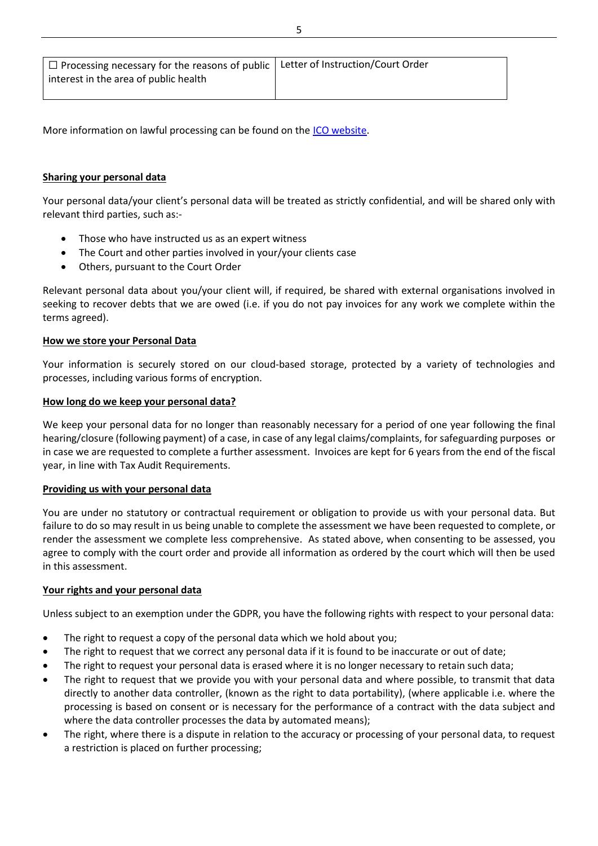| $\Box$ Processing necessary for the reasons of public $\Box$ Letter of Instruction/Court Order<br>interest in the area of public health |  |
|-----------------------------------------------------------------------------------------------------------------------------------------|--|
|                                                                                                                                         |  |

More information on lawful processing can be found on the [ICO website.](https://ico.org.uk/for-organisations/guide-to-the-general-data-protection-regulation-gdpr/lawful-basis-for-processing/)

# **Sharing your personal data**

Your personal data/your client's personal data will be treated as strictly confidential, and will be shared only with relevant third parties, such as:-

- Those who have instructed us as an expert witness
- The Court and other parties involved in your/your clients case
- Others, pursuant to the Court Order

Relevant personal data about you/your client will, if required, be shared with external organisations involved in seeking to recover debts that we are owed (i.e. if you do not pay invoices for any work we complete within the terms agreed).

# **How we store your Personal Data**

Your information is securely stored on our cloud-based storage, protected by a variety of technologies and processes, including various forms of encryption.

# **How long do we keep your personal data?**

We keep your personal data for no longer than reasonably necessary for a period of one year following the final hearing/closure (following payment) of a case, in case of any legal claims/complaints, for safeguarding purposes or in case we are requested to complete a further assessment. Invoices are kept for 6 years from the end of the fiscal year, in line with Tax Audit Requirements.

# **Providing us with your personal data**

You are under no statutory or contractual requirement or obligation to provide us with your personal data. But failure to do so may result in us being unable to complete the assessment we have been requested to complete, or render the assessment we complete less comprehensive. As stated above, when consenting to be assessed, you agree to comply with the court order and provide all information as ordered by the court which will then be used in this assessment.

# **Your rights and your personal data**

Unless subject to an exemption under the GDPR, you have the following rights with respect to your personal data:

- The right to request a copy of the personal data which we hold about you;
- The right to request that we correct any personal data if it is found to be inaccurate or out of date;
- The right to request your personal data is erased where it is no longer necessary to retain such data;
- The right to request that we provide you with your personal data and where possible, to transmit that data directly to another data controller, (known as the right to data portability), (where applicable i.e. where the processing is based on consent or is necessary for the performance of a contract with the data subject and where the data controller processes the data by automated means);
- The right, where there is a dispute in relation to the accuracy or processing of your personal data, to request a restriction is placed on further processing;